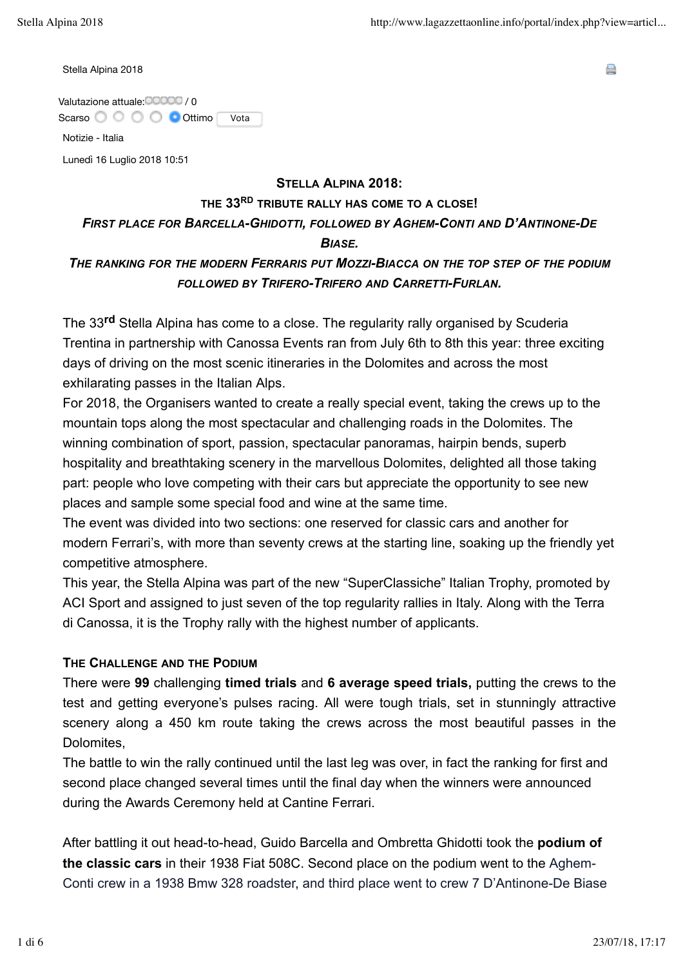A

Stella Alpina 2018

Valutazione attuale: 00000 / 0 Scarso O O O O Ottimo Vota

Notizie - Italia

Lunedì 16 Luglio 2018 10:51

#### **STELLA ALPINA 2018:**

### **THE 33RD TRIBUTE RALLY HAS COME TO A CLOSE!**

## *FIRST PLACE FOR BARCELLA-GHIDOTTI, FOLLOWED BY AGHEM-CONTI AND D'ANTINONE-DE BIASE.*

# *THE RANKING FOR THE MODERN FERRARIS PUT MOZZI-BIACCA ON THE TOP STEP OF THE PODIUM FOLLOWED BY TRIFERO-TRIFERO AND CARRETTI-FURLAN.*

The 33**rd** Stella Alpina has come to a close. The regularity rally organised by Scuderia Trentina in partnership with Canossa Events ran from July 6th to 8th this year: three exciting days of driving on the most scenic itineraries in the Dolomites and across the most exhilarating passes in the Italian Alps.

For 2018, the Organisers wanted to create a really special event, taking the crews up to the mountain tops along the most spectacular and challenging roads in the Dolomites. The winning combination of sport, passion, spectacular panoramas, hairpin bends, superb hospitality and breathtaking scenery in the marvellous Dolomites, delighted all those taking part: people who love competing with their cars but appreciate the opportunity to see new places and sample some special food and wine at the same time.

The event was divided into two sections: one reserved for classic cars and another for modern Ferrari's, with more than seventy crews at the starting line, soaking up the friendly yet competitive atmosphere.

This year, the Stella Alpina was part of the new "SuperClassiche" Italian Trophy, promoted by ACI Sport and assigned to just seven of the top regularity rallies in Italy. Along with the Terra di Canossa, it is the Trophy rally with the highest number of applicants.

## **THE CHALLENGE AND THE PODIUM**

There were **99** challenging **timed trials** and **6 average speed trials,** putting the crews to the test and getting everyone's pulses racing. All were tough trials, set in stunningly attractive scenery along a 450 km route taking the crews across the most beautiful passes in the Dolomites,

The battle to win the rally continued until the last leg was over, in fact the ranking for first and second place changed several times until the final day when the winners were announced during the Awards Ceremony held at Cantine Ferrari.

After battling it out head-to-head, Guido Barcella and Ombretta Ghidotti took the **podium of the classic cars** in their 1938 Fiat 508C. Second place on the podium went to the Aghem-Conti crew in a 1938 Bmw 328 roadster, and third place went to crew 7 D'Antinone-De Biase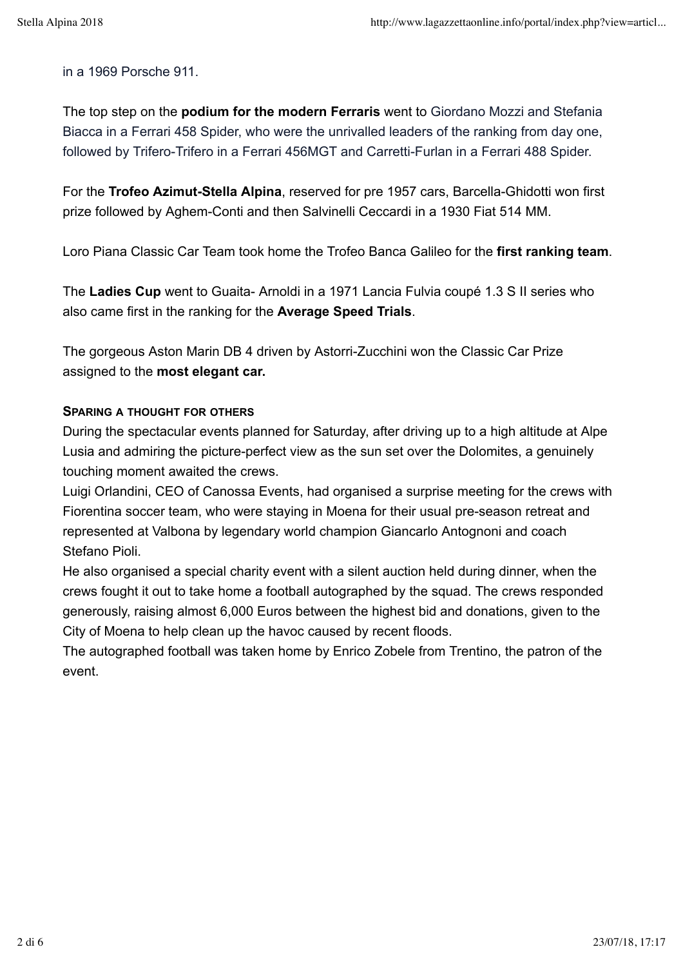in a 1969 Porsche 911.

The top step on the **podium for the modern Ferraris** went to Giordano Mozzi and Stefania Biacca in a Ferrari 458 Spider, who were the unrivalled leaders of the ranking from day one, followed by Trifero-Trifero in a Ferrari 456MGT and Carretti-Furlan in a Ferrari 488 Spider.

For the **Trofeo Azimut-Stella Alpina**, reserved for pre 1957 cars, Barcella-Ghidotti won first prize followed by Aghem-Conti and then Salvinelli Ceccardi in a 1930 Fiat 514 MM.

Loro Piana Classic Car Team took home the Trofeo Banca Galileo for the **first ranking team**.

The **Ladies Cup** went to Guaita- Arnoldi in a 1971 Lancia Fulvia coupé 1.3 S II series who also came first in the ranking for the **Average Speed Trials**.

The gorgeous Aston Marin DB 4 driven by Astorri-Zucchini won the Classic Car Prize assigned to the **most elegant car.**

### **SPARING A THOUGHT FOR OTHERS**

During the spectacular events planned for Saturday, after driving up to a high altitude at Alpe Lusia and admiring the picture-perfect view as the sun set over the Dolomites, a genuinely touching moment awaited the crews.

Luigi Orlandini, CEO of Canossa Events, had organised a surprise meeting for the crews with Fiorentina soccer team, who were staying in Moena for their usual pre-season retreat and represented at Valbona by legendary world champion Giancarlo Antognoni and coach Stefano Pioli.

He also organised a special charity event with a silent auction held during dinner, when the crews fought it out to take home a football autographed by the squad. The crews responded generously, raising almost 6,000 Euros between the highest bid and donations, given to the City of Moena to help clean up the havoc caused by recent floods.

The autographed football was taken home by Enrico Zobele from Trentino, the patron of the event.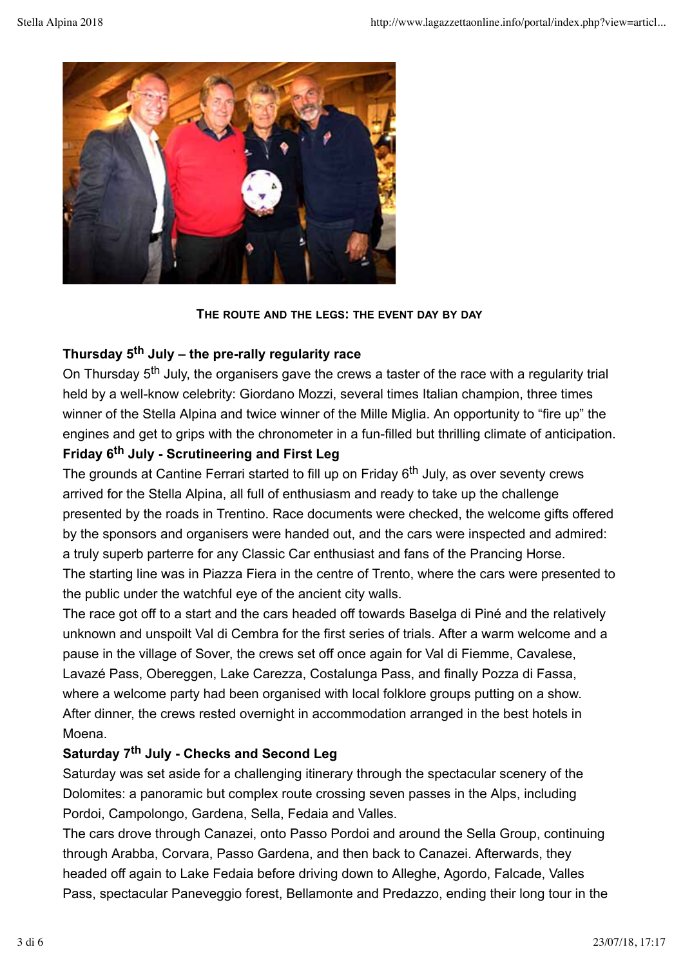

**THE ROUTE AND THE LEGS: THE EVENT DAY BY DAY**

# **Thursday 5th July – the pre-rally regularity race**

On Thursday 5<sup>th</sup> July, the organisers gave the crews a taster of the race with a regularity trial held by a well-know celebrity: Giordano Mozzi, several times Italian champion, three times winner of the Stella Alpina and twice winner of the Mille Miglia. An opportunity to "fire up" the engines and get to grips with the chronometer in a fun-filled but thrilling climate of anticipation.

# **Friday 6th July - Scrutineering and First Leg**

The grounds at Cantine Ferrari started to fill up on Friday 6<sup>th</sup> July, as over seventy crews arrived for the Stella Alpina, all full of enthusiasm and ready to take up the challenge presented by the roads in Trentino. Race documents were checked, the welcome gifts offered by the sponsors and organisers were handed out, and the cars were inspected and admired: a truly superb parterre for any Classic Car enthusiast and fans of the Prancing Horse. The starting line was in Piazza Fiera in the centre of Trento, where the cars were presented to the public under the watchful eye of the ancient city walls.

The race got off to a start and the cars headed off towards Baselga di Piné and the relatively unknown and unspoilt Val di Cembra for the first series of trials. After a warm welcome and a pause in the village of Sover, the crews set off once again for Val di Fiemme, Cavalese, Lavazé Pass, Obereggen, Lake Carezza, Costalunga Pass, and finally Pozza di Fassa, where a welcome party had been organised with local folklore groups putting on a show. After dinner, the crews rested overnight in accommodation arranged in the best hotels in Moena.

## **Saturday 7th July - Checks and Second Leg**

Saturday was set aside for a challenging itinerary through the spectacular scenery of the Dolomites: a panoramic but complex route crossing seven passes in the Alps, including Pordoi, Campolongo, Gardena, Sella, Fedaia and Valles.

The cars drove through Canazei, onto Passo Pordoi and around the Sella Group, continuing through Arabba, Corvara, Passo Gardena, and then back to Canazei. Afterwards, they headed off again to Lake Fedaia before driving down to Alleghe, Agordo, Falcade, Valles Pass, spectacular Paneveggio forest, Bellamonte and Predazzo, ending their long tour in the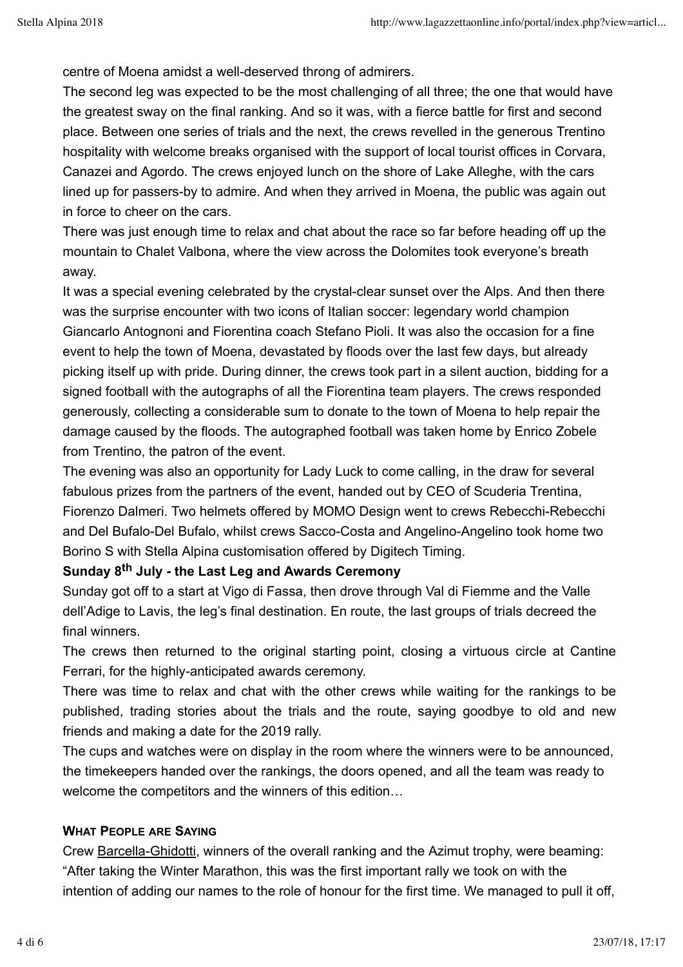centre of Moena amidst a well-deserved throng of admirers.

The second leg was expected to be the most challenging of all three; the one that would have the greatest sway on the final ranking. And so it was, with a fierce battle for first and second place. Between one series of trials and the next, the crews revelled in the generous Trentino hospitality with welcome breaks organised with the support of local tourist offices in Corvara, Canazei and Agordo. The crews enjoyed lunch on the shore of Lake Alleghe, with the cars lined up for passers-by to admire. And when they arrived in Moena, the public was again out in force to cheer on the cars.

There was just enough time to relax and chat about the race so far before heading off up the mountain to Chalet Valbona, where the view across the Dolomites took everyone's breath away.

It was a special evening celebrated by the crystal-clear sunset over the Alps. And then there was the surprise encounter with two icons of Italian soccer: legendary world champion Giancarlo Antognoni and Fiorentina coach Stefano Pioli. It was also the occasion for a fine event to help the town of Moena, devastated by floods over the last few days, but already picking itself up with pride. During dinner, the crews took part in a silent auction, bidding for a signed football with the autographs of all the Fiorentina team players. The crews responded generously, collecting a considerable sum to donate to the town of Moena to help repair the damage caused by the floods. The autographed football was taken home by Enrico Zobele from Trentino, the patron of the event.

The evening was also an opportunity for Lady Luck to come calling, in the draw for several fabulous prizes from the partners of the event, handed out by CEO of Scuderia Trentina, Fiorenzo Dalmeri. Two helmets offered by MOMO Design went to crews Rebecchi-Rebecchi and Del Bufalo-Del Bufalo, whilst crews Sacco-Costa and Angelino-Angelino took home two Borino S with Stella Alpina customisation offered by Digitech Timing.

## **Sunday 8th July - the Last Leg and Awards Ceremony**

Sunday got off to a start at Vigo di Fassa, then drove through Val di Fiemme and the Valle dell'Adige to Lavis, the leg's final destination. En route, the last groups of trials decreed the final winners.

The crews then returned to the original starting point, closing a virtuous circle at Cantine Ferrari, for the highly-anticipated awards ceremony.

There was time to relax and chat with the other crews while waiting for the rankings to be published, trading stories about the trials and the route, saying goodbye to old and new friends and making a date for the 2019 rally.

The cups and watches were on display in the room where the winners were to be announced, the timekeepers handed over the rankings, the doors opened, and all the team was ready to welcome the competitors and the winners of this edition…

## **WHAT PEOPLE ARE SAYING**

Crew Barcella-Ghidotti, winners of the overall ranking and the Azimut trophy, were beaming: "After taking the Winter Marathon, this was the first important rally we took on with the intention of adding our names to the role of honour for the first time. We managed to pull it off,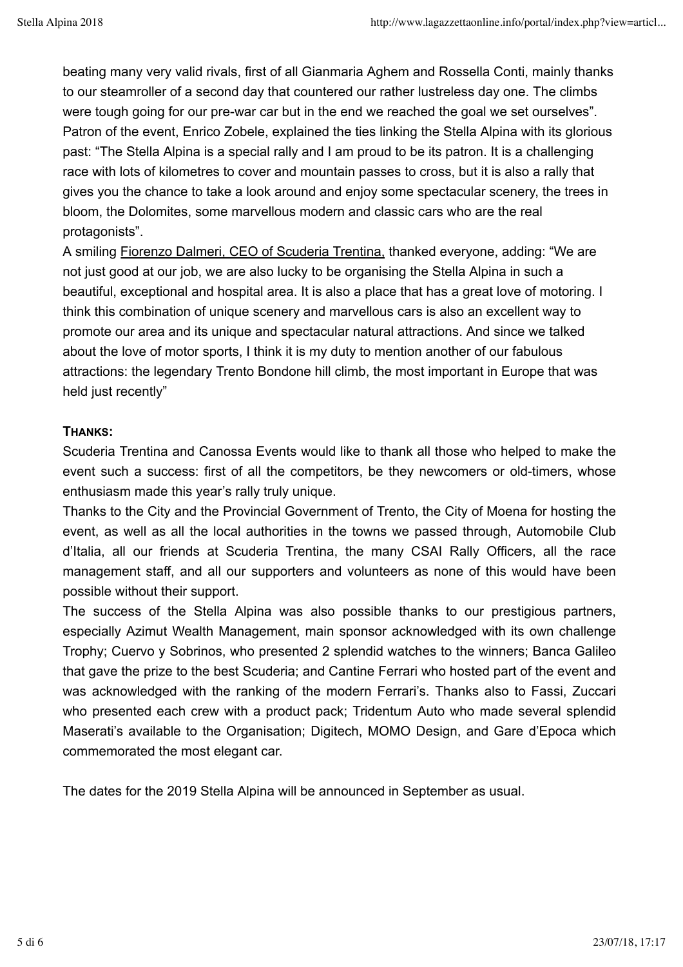beating many very valid rivals, first of all Gianmaria Aghem and Rossella Conti, mainly thanks to our steamroller of a second day that countered our rather lustreless day one. The climbs were tough going for our pre-war car but in the end we reached the goal we set ourselves". Patron of the event, Enrico Zobele, explained the ties linking the Stella Alpina with its glorious past: "The Stella Alpina is a special rally and I am proud to be its patron. It is a challenging race with lots of kilometres to cover and mountain passes to cross, but it is also a rally that gives you the chance to take a look around and enjoy some spectacular scenery, the trees in bloom, the Dolomites, some marvellous modern and classic cars who are the real protagonists".

A smiling Fiorenzo Dalmeri, CEO of Scuderia Trentina, thanked everyone, adding: "We are not just good at our job, we are also lucky to be organising the Stella Alpina in such a beautiful, exceptional and hospital area. It is also a place that has a great love of motoring. I think this combination of unique scenery and marvellous cars is also an excellent way to promote our area and its unique and spectacular natural attractions. And since we talked about the love of motor sports, I think it is my duty to mention another of our fabulous attractions: the legendary Trento Bondone hill climb, the most important in Europe that was held just recently"

## **THANKS:**

Scuderia Trentina and Canossa Events would like to thank all those who helped to make the event such a success: first of all the competitors, be they newcomers or old-timers, whose enthusiasm made this year's rally truly unique.

Thanks to the City and the Provincial Government of Trento, the City of Moena for hosting the event, as well as all the local authorities in the towns we passed through, Automobile Club d'Italia, all our friends at Scuderia Trentina, the many CSAI Rally Officers, all the race management staff, and all our supporters and volunteers as none of this would have been possible without their support.

The success of the Stella Alpina was also possible thanks to our prestigious partners, especially Azimut Wealth Management, main sponsor acknowledged with its own challenge Trophy; Cuervo y Sobrinos, who presented 2 splendid watches to the winners; Banca Galileo that gave the prize to the best Scuderia; and Cantine Ferrari who hosted part of the event and was acknowledged with the ranking of the modern Ferrari's. Thanks also to Fassi, Zuccari who presented each crew with a product pack; Tridentum Auto who made several splendid Maserati's available to the Organisation; Digitech, MOMO Design, and Gare d'Epoca which commemorated the most elegant car.

The dates for the 2019 Stella Alpina will be announced in September as usual.